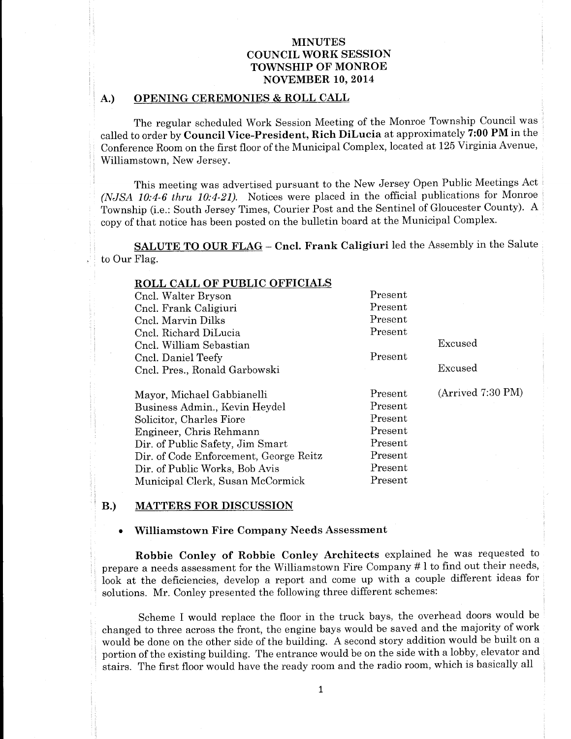## A.) OPENING CEREMONIES & ROLL CALL

The regular scheduled Work Session Meeting of the Monroe Township Council was called to order by Council Vice-President, Rich DiLucia at approximately 7:00 PM in the Conference Room on the first floor of the Municipal Complex, located at 125 Virginia Avenue, Williamstown, New Jersey.

This meeting was advertised pursuant to the New Jersey Open Public Meetings Act (NJSA 10:4-6 thru 10:4-21). Notices were placed in the official publications for Monroe Township (i.e.: South Jersey Times, Courier Post and the Sentinel of Gloucester County). <sup>A</sup> copy of that notice has been posted on the bulletin board at the Municipal Complex.

SALUTE TO OUR FLAG - Cncl. Frank Caligiuri led the Assembly in the Salute to Our Flag.

| <b>ROLL CALL OF PUBLIC OFFICIALS</b>   |         |                   |
|----------------------------------------|---------|-------------------|
| Cncl. Walter Bryson                    | Present |                   |
| Cncl. Frank Caligiuri                  | Present |                   |
| Cncl. Marvin Dilks                     | Present |                   |
| Cnel. Richard DiLucia                  | Present |                   |
| Cncl. William Sebastian                |         | Excused           |
| Cncl. Daniel Teefy                     | Present |                   |
| Cncl. Pres., Ronald Garbowski          |         | Excused           |
| Mayor, Michael Gabbianelli             | Present | (Arrived 7:30 PM) |
|                                        |         |                   |
| Business Admin., Kevin Heydel          | Present |                   |
| Solicitor, Charles Fiore               | Present |                   |
| Engineer, Chris Rehmann                | Present |                   |
| Dir. of Public Safety, Jim Smart       | Present |                   |
| Dir. of Code Enforcement, George Reitz | Present |                   |
| Dir. of Public Works, Bob Avis         | Present |                   |

#### B.) MATTERS FOR DISCUSSION

### Williamstown Fire Company Needs Assessment

Robbie Conley of Robbie Conley Architects explained he was requested to prepare a needs assessment for the Williamstown Fire Company # 1 to find out their needs, look at the deficiencies, develop a report and come up with a couple different ideas for solutions. Mr. Conley presented the following three different schemes:

Scheme I would replace the floor in the truck bays, the overhead doors would be changed to three across the front, the engine bays would be saved and the majority of work would be done on the other side of the building. A second story addition would be built on a portion of the existing building. The entrance would be on the side with a lobby, elevator and stairs. The first floor would have the ready room and the radio room, which is basically all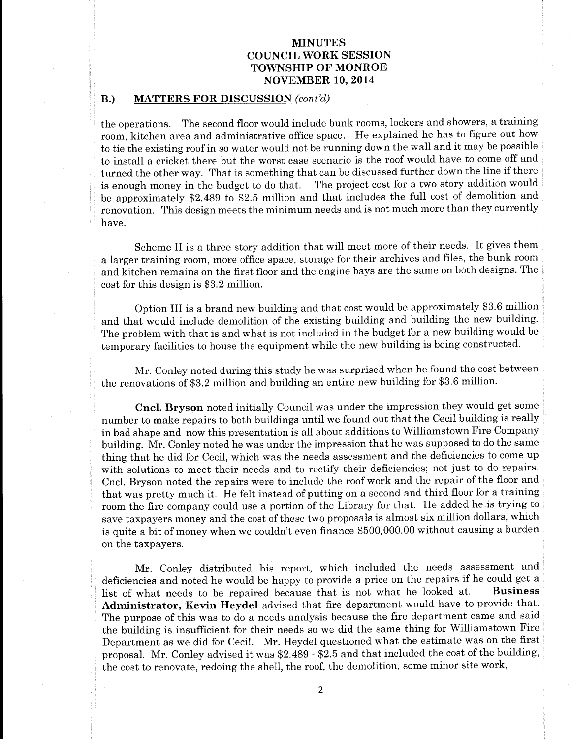### B.) MATTERS FOR DISCUSSION (cont'd)

the operations. The second floor would include bunk rooms, lockers and showers, a training room, kitchen area and administrative office space. He explained he has to figure out how to tie the existing roof in so water would not be running down the wall and it may be possible to install a cricket there but the worst case scenario is the roof would have to come off and turned the other way. That is something that can be discussed further down the line if there is enough money in the budget to do that. The project cost for <sup>a</sup> two story addition would be approximately \$2.489 to \$2.5 million and that includes the full cost of demolition and renovation. This design meets the minimum needs and is not much more than they currently have.

Scheme II is <sup>a</sup> three story addition that will meet more of their needs. It gives them a larger training room, more office space, storage for their archives and files, the bunk room and kitchen remains on the first floor and the engine bays are the same on both designs. The cost for this design is \$3.2 million.

Option III is <sup>a</sup> brand new building and that cost would be approximately \$3. <sup>6</sup> million and that would include demolition of the existing building and building the new building. The problem with that is and what is not included in the budget for a new building would be temporary facilities to house the equipment while the new building is being constructed.

Mr. Conley noted during this study he was surprised when he found the cost between the renovations of \$3.2 million and building an entire new building for \$3.6 million.

Cncl. Bryson noted initially Council was under the impression they would get some number to make repairs to both buildings until we found out that the Cecil building is really in bad shape and now this presentation is all about additions to Williamstown Fire Company building. Mr. Conley noted he was under the impression that he was supposed to do the same thing that he did for Cecil, which was the needs assessment and the deficiencies to come up with solutions to meet their needs and to rectify their deficiencies; not just to do repairs. Cncl. Bryson noted the repairs were to include the roof work and the repair of the floor and that was pretty much it. He felt instead of putting on <sup>a</sup> second and third floor for <sup>a</sup> training room the fire company could use <sup>a</sup> portion of the Library for that. He added he is trying to save taxpayers money and the cost of these two proposals is almost six million dollars, which is quite a bit of money when we couldn't even finance \$500,000.00 without causing a burden on the taxpayers.

Mr. Conley distributed his report, which included the needs assessment and deficiencies and noted he would be happy to provide a price on the repairs if he could get a<br>list of what needs to be repaired because that is not what he looked at. Business list of what needs to be repaired because that is not what he looked at. Administrator, Kevin Heydel advised that fire department would have to provide that. The purpose of this was to do a needs analysis because the fire department came and said the building is insufficient for their needs so we did the same thing for Williamstown Fire Department as we did for Cecil. Mr. Heydel questioned what the estimate was on the first proposal. Mr. Conley advised it was \$2.489 - \$2.5 and that included the cost of the building, the cost to renovate, redoing the shell, the roof, the demolition, some minor site work,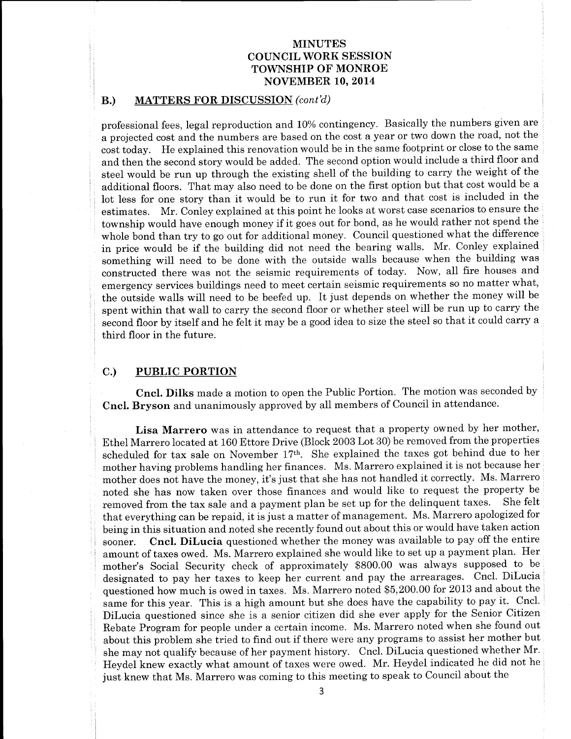### B.) MATTERS FOR DISCUSSION (cont'd)

professional fees, legal reproduction and 10% contingency. Basically the numbers given are a projected cost and the numbers are based on the cost a year or two down the road, not the cost today. He explained this renovation would be in the same footprint or close to the same and then the second story would be added. The second option would include a third floor and steel would be run up through the existing shell of the building to carry the weight of the additional floors. That may also need to be done on the first option but that cost would be a lot less for one story than it would be to run it for two and that cost is included in the estimates. Mr. Conley explained at this point he looks at worst case scenarios to ensure the township would have enough money if it goes out for bond, as he would rather not spend the whole bond than try to go out for additional money. Council questioned what the difference in price would be if the building did not need the bearing walls. Mr. Conley explained something will need to be done with the outside walls because when the building was constructed there was not the seismic requirements of today. Now, all fire houses and emergency services buildings need to meet certain seismic requirements so no matter what, the outside walls will need to be beefed up. It just depends on whether the money will be spent within that wall to carry the second floor or whether steel will be run up to carry the second floor by itself and he felt it may be <sup>a</sup> good idea to size the steel so that it could carry <sup>a</sup> third floor in the future.

## C.) PUBLIC PORTION

Cncl. Dilks made a motion to open the Public Portion. The motion was seconded by Cncl. Bryson and unanimously approved by all members of Council in attendance.

Lisa Marrero was in attendance to request that a property owned by her mother, Ethel Marrero located at 160 Ettore Drive (Block 2003 Lot 30) be removed from the properties scheduled for tax sale on November 17th. She explained the taxes got behind due to her mother having problems handling her finances. Ms. Marrero explained it is not because her mother does not have the money, it's just that she has not handled it correctly. Ms. Marrero noted she has now taken over those finances and would like to request the property be removed from the tax sale and a nayment plan be set up for the delinquent taxes. She felt removed from the tax sale and a payment plan be set up for the delinquent taxes. that everything can be repaid, it is just <sup>a</sup> matter of management. Ms. Marrero apologized for being in this situation and noted she recently found out about this or would have taken action sooner. Cncl. DiLucia questioned whether the money was available to pay off the entire amount of taxes owed. Ms. Marrero explained she would like to set up a payment plan. Her mother'<sup>s</sup> Social Security check of approximately \$800.00 was always supposed to be designated to pay her taxes to keep her current and pay the arrearages. Cncl. DiLucia questioned how much is owed in taxes. Ms. Marrero noted \$5, 200.00 for 2013 and about the same for this year. This is <sup>a</sup> high amount but she does have the capability to pay it. Cncl. DiLucia questioned since she is a senior citizen did she ever apply for the Senior Citizen Rebate Program for people under <sup>a</sup> certain income. Ms. Marrero noted when she found out about this problem she tried to find out if there were any programs to assist her mother but she may not qualify because of her payment history. Cncl. DiLucia questioned whether Mr. Heydel knew exactly what amount of taxes were owed. Mr. Heydel indicated he did not he just knew that Ms. Marrero was coming to this meeting to speak to Council about the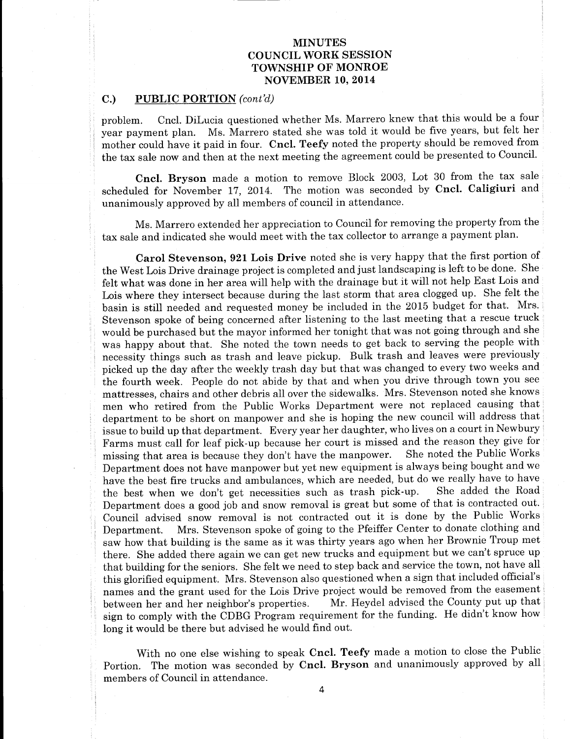### C.) PUBLIC PORTION (cont'd)

problem. Cncl. DiLucia questioned whether Ms. Marrero knew that this would be a four year payment plan. Ms. Marrero stated she was told it would be five years, but felt her mother could have it paid in four. Cncl. Teefy noted the property should be removed from the tax sale now and then at the next meeting the agreement could be presented to Council.

Cncl. Bryson made <sup>a</sup> motion to remove Block 2003, Lot 30 from the tax sale scheduled for November 17, 2014. The motion was seconded by Cncl. Caligiuri and unanimously approved by all members of council in attendance.

Ms. Marrero extended her appreciation to Council for removing the property from the tax sale and indicated she would meet with the tax collector to arrange a payment plan.

Carol Stevenson, 921 Lois Drive noted she is very happy that the first portion of the West Lois Drive drainage project is completed and just landscaping is left to be done. She felt what was done in her area will help with the drainage but it will not help East Lois and Lois where they intersect because during the last storm that area clogged up. She felt the basin is still needed and requested money be included in the <sup>2015</sup> budget for that. Mrs. Stevenson spoke of being concerned after listening to the last meeting that a rescue truck would be purchased but the mayor informed her tonight that was not going through and she was happy about that. She noted the town needs to get back to serving the people with necessity things such as trash and leave pickup. Bulk trash and leaves were previously picked up the day after the weekly trash day but that was changed to every two weeks and the fourth week. People do not abide by that and when you drive through town you see mattresses, chairs and other debris all over the sidewalks. Mrs. Stevenson noted she knows men who retired from the Public Works Department were not replaced causing that department to be short on manpower and she is hoping the new council will address that issue to build up that department. Every year her daughter, who lives on <sup>a</sup> court in Newbury Farms must call for leaf pick-up because her court is missed and the reason they give for missing that area is because they don't have the manpower. She noted the Public Works missing that area is because they don't have the manpower. Department does not have manpower but yet new equipment is always being bought and we have the best fire trucks and ambulances, which are needed, but do we really have to have the best when we don't get necessities such as trash pick-up. She added the Road Department does a good job and snow removal is great but some of that is contracted out. Council advised snow removal is not contracted out it is done by the Public Works Department. Mrs. Stevenson spoke of going to the Pfeiffer Center to donate clothing and saw how that building is the same as it was thirty years ago when her Brownie Troup met there. She added there again we can get new trucks and equipment but we can't spruce up that building for the seniors. She felt we need to step back and service the town, not have all this glorified equipment. Mrs. Stevenson also questioned when a sign that included official's names and the grant used for the Lois Drive project would be removed from the easement between her and her neighbor'<sup>s</sup> properties. Mr. Heydel advised the County put up that sign to comply with the CDBG Program requirement for the funding. He didn't know how long it would be there but advised he would find out.

With no one else wishing to speak Cncl. Teefy made a motion to close the Public Portion. The motion was seconded by Cncl. Bryson and unanimously approved by all members of Council in attendance.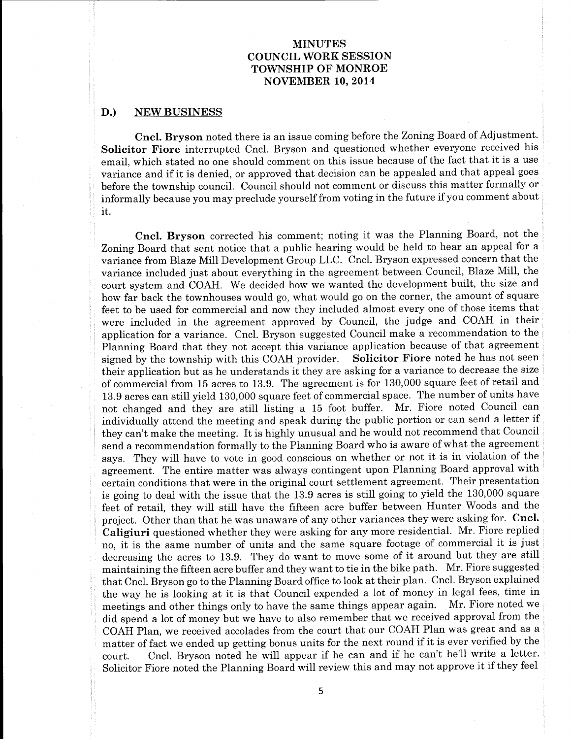#### D.) NEW BUSINESS

Cncl. Bryson noted there is an issue coming before the Zoning Board of Adjustment. Solicitor Fiore interrupted Cncl. Bryson and questioned whether everyone received his email, which stated no one should comment on this issue because of the fact that it is <sup>a</sup> use variance and if it is denied, or approved that decision can be appealed and that appeal goes before the township council. Council should not comment or discuss this matter formally or informally because you may preclude yourself from voting in the future if you comment about it.

Cncl. Bryson corrected his comment; noting it was the Planning Board, not the Zoning Board that sent notice that a public hearing would be held to hear an appeal for a variance from Blaze Mill Development Group LLC. Cncl. Bryson expressed concern that the variance included just about everything in the agreement between Council, Blaze Mill, the court system and COAH. We decided how we wanted the development built, the size and how far back the townhouses would go, what would go on the corner, the amount of square feet to be used for commercial and now they included almost every one of those items that were included in the agreement approved by Council, the judge and COAH in their application for a variance. Cncl. Bryson suggested Council make a recommendation to the Planning Board that they not accept this variance application because of that agreement<br>signed by the township with this COAH provider. Solicitor Fiore noted he has not seen signed by the township with this COAH provider. their application but as he understands it they are asking for a variance to decrease the size of commercial from 15 acres to 13.9. The agreement is for 130,000 square feet of retail and 13. <sup>9</sup> acres can still yield 130, 000 square feet of commercial space. The number of units have not changed and they are still listing <sup>a</sup> <sup>15</sup> foot buffer. Mr. Fiore noted Council can individually attend the meeting and speak during the public portion or can send <sup>a</sup> letter if they can't make the meeting. It is highly unusual and he would not recommend that Council send a recommendation formally to the Planning Board who is aware of what the agreement says. They will have to vote in good conscious on whether or not it is in violation of the agreement. The entire matter was always contingent upon Planning Board approval with certain conditions that were in the original court settlement agreement. Their presentation is going to deal with the issue that the 13. 9 acres is still going to yield the 130, 000 square feet of retail, they will still have the fifteen acre buffer between Hunter Woods and the project. Other than that he was unaware of any other variances they were asking for. Cncl. Caligiuri questioned whether they were asking for any more residential. Mr. Fiore replied no, it is the same number of units and the same square footage of commercial it is just decreasing the acres to 13.9. They do want to move some of it around but they are still maintaining the fifteen acre buffer and they want to tie in the bike path. Mr. Fiore suggested that Cncl. Bryson go to the Planning Board office to look at their plan. Cncl. Bryson explained the way he is looking at it is that Council expended a lot of money in legal fees, time in<br>meetings and other things only to have the same things appear again. Mr. Fiore noted we meetings and other things only to have the same things appear again. did spend a lot of money but we have to also remember that we received approval from the COAH Plan, we received accolades from the court that our COAH Plan was great and as a matter of fact we ended up getting bonus units for the next round if it is ever verified by the court. Cncl. Bryson noted he will appear if he can and if he can't he'll write <sup>a</sup> letter. Solicitor Fiore noted the Planning Board will review this and may not approve it if they feel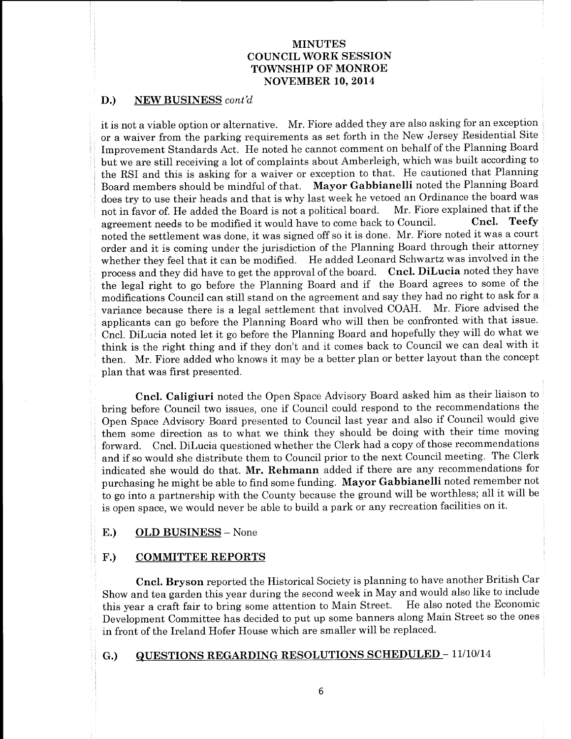### D.) NEW BUSINESS cont'd

it is not <sup>a</sup> viable option or alternative. Mr. Fiore added they are also asking for an exception or a waiver from the parking requirements as set forth in the New Jersey Residential Site Improvement Standards Act. He noted he cannot comment on behalf of the Planning Board but we are still receiving <sup>a</sup> lot of complaints about Amberleigh, which was built according to the RSI and this is asking for <sup>a</sup> waiver or exception to that. He cautioned that Planning Board members should be mindful of that. Mayor Gabbianelli noted the Planning Board does try to use their heads and that is why last week he vetoed an Ordinance the board was<br>not in favor of He added the Board is not a political board. Mr. Fiore explained that if the not in favor of. He added the Board is not a political board. Mr. Fiore explained that if the agreement needs to be modified it would have to come back to Council. Cncl. Teefy agreement needs to be modified it would have to come back to Council. noted the settlement was done, it was signed off so it is done. Mr. Fiore noted it was <sup>a</sup> court order and it is coming under the jurisdiction of the Planning Board through their attorney whether they feel that it can be modified. He added Leonard Schwartz was involved in the process and they did have to get the approval of the board. Cncl. DiLucia noted they have the legal right to go before the Planning Board and if the Board agrees to some of the modifications Council can still stand on the agreement and say they had no right to ask for a<br>variance because there is a legal settlement that involved COAH. Mr. Fiore advised the variance because there is a legal settlement that involved COAH. applicants can go before the Planning Board who will then be confronted with that issue. Cncl. DiLucia noted let it go before the Planning Board and hopefully they will do what we think is the right thing and if they don't and it comes back to Council we can deal with it then. Mr. Fiore added who knows it may be <sup>a</sup> better plan or better layout than the concept plan that was first presented.

Cncl. Caligiuri noted the Open Space Advisory Board asked him as their liaison to bring before Council two issues, one if Council could respond to the recommendations the Open Space Advisory Board presented to Council last year and also if Council would give them some direction as to what we think they should be doing with their time moving forward. Cncl. DiLucia questioned whether the Clerk had a copy of those recommendations and if so would she distribute them to Council prior to the next Council meeting. The Clerk indicated she would do that. Mr. Rehmann added if there are any recommendations for purchasing he might be able to find some funding. Mayor Gabbianelli noted remember not to go into <sup>a</sup> partnership with the County because the ground will be worthless; all it will be is open space, we would never be able to build <sup>a</sup> park or any recreation facilities on it.

#### E.) OLD BUSINESS- None

#### F.) COMMITTEE REPORTS

Cncl. Bryson reported the Historical Society is planning to have another British Car Show and tea garden this year during the second week in May and would also like to include this year a craft fair to bring some attention to Main Street. Development Committee has decided to put up some banners along Main Street so the ones in front of the Ireland Hofer House which are smaller will be replaced.

### G.) QUESTIONS REGARDING RESOLUTIONS SCHEDULED - 11/10/14